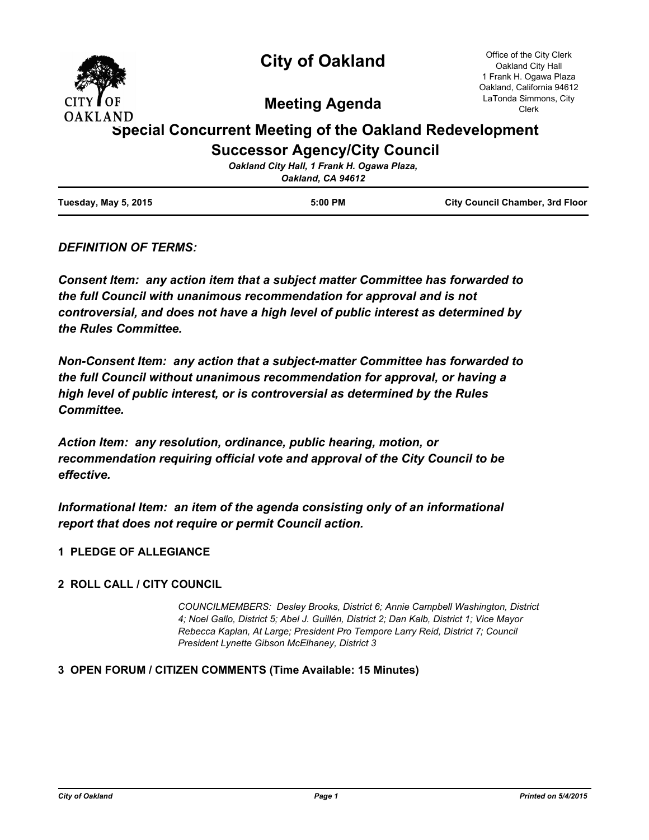

# **City of Oakland**

Office of the City Clerk Oakland City Hall 1 Frank H. Ogawa Plaza Oakland, California 94612 LaTonda Simmons, City Clerk

**Meeting Agenda**

# **Special Concurrent Meeting of the Oakland Redevelopment Successor Agency/City Council**

|                      | Oakland City Hall, 1 Frank H. Ogawa Plaza,<br>Oakland, CA 94612 |                                        |
|----------------------|-----------------------------------------------------------------|----------------------------------------|
| Tuesday, May 5, 2015 | $5:00$ PM                                                       | <b>City Council Chamber, 3rd Floor</b> |

# *DEFINITION OF TERMS:*

*Consent Item: any action item that a subject matter Committee has forwarded to the full Council with unanimous recommendation for approval and is not controversial, and does not have a high level of public interest as determined by the Rules Committee.*

*Non-Consent Item: any action that a subject-matter Committee has forwarded to the full Council without unanimous recommendation for approval, or having a high level of public interest, or is controversial as determined by the Rules Committee.*

*Action Item: any resolution, ordinance, public hearing, motion, or recommendation requiring official vote and approval of the City Council to be effective.*

*Informational Item: an item of the agenda consisting only of an informational report that does not require or permit Council action.*

# **1 PLEDGE OF ALLEGIANCE**

#### **2 ROLL CALL / CITY COUNCIL**

*COUNCILMEMBERS: Desley Brooks, District 6; Annie Campbell Washington, District 4; Noel Gallo, District 5; Abel J. Guillén, District 2; Dan Kalb, District 1; Vice Mayor Rebecca Kaplan, At Large; President Pro Tempore Larry Reid, District 7; Council President Lynette Gibson McElhaney, District 3*

#### **3 OPEN FORUM / CITIZEN COMMENTS (Time Available: 15 Minutes)**